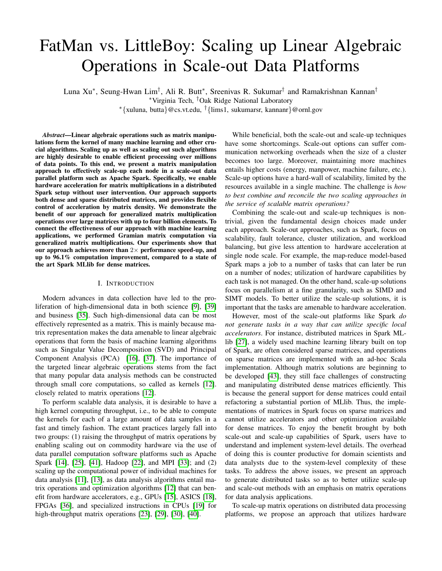# FatMan vs. LittleBoy: Scaling up Linear Algebraic Operations in Scale-out Data Platforms

Luna Xu\*, Seung-Hwan Lim<sup>†</sup>, Ali R. Butt\*, Sreenivas R. Sukumar<sup>†</sup> and Ramakrishnan Kannan<sup>†</sup>

<sup>∗</sup>Virginia Tech, †Oak Ridge National Laboratory

<sup>∗</sup>{xuluna, butta}@cs.vt.edu, †{lims1, sukumarsr, kannanr}@ornl.gov

*Abstract*—Linear algebraic operations such as matrix manipulations form the kernel of many machine learning and other crucial algorithms. Scaling up as well as scaling out such algorithms are highly desirable to enable efficient processing over millions of data points. To this end, we present a matrix manipulation approach to effectively scale-up each node in a scale-out data parallel platform such as Apache Spark. Specifically, we enable hardware acceleration for matrix multiplications in a distributed Spark setup without user intervention. Our approach supports both dense and sparse distributed matrices, and provides flexible control of acceleration by matrix density. We demonstrate the benefit of our approach for generalized matrix multiplication operations over large matrices with up to four billion elements. To connect the effectiveness of our approach with machine learning applications, we performed Gramian matrix computation via generalized matrix multiplications. Our experiments show that our approach achieves more than  $2\times$  performance speed-up, and up to 96.1% computation improvement, compared to a state of the art Spark MLlib for dense matrices.

#### I. INTRODUCTION

Modern advances in data collection have led to the proliferation of high-dimensional data in both science [\[9\]](#page-5-0), [\[39\]](#page-5-1) and business [\[35\]](#page-5-2). Such high-dimensional data can be most effectively represented as a matrix. This is mainly because matrix representation makes the data amenable to linear algebraic operations that form the basis of machine learning algorithms such as Singular Value Decomposition (SVD) and Principal Component Analysis (PCA) [\[16\]](#page-5-3), [\[37\]](#page-5-4). The importance of the targeted linear algebraic operations stems from the fact that many popular data analysis methods can be constructed through small core computations, so called as kernels [\[12\]](#page-5-5). closely related to matrix operations [\[12\]](#page-5-5).

To perform scalable data analysis, it is desirable to have a high kernel computing throughput, i.e., to be able to compute the kernels for each of a large amount of data samples in a fast and timely fashion. The extant practices largely fall into two groups: (1) raising the throughput of matrix operations by enabling scaling out on commodity hardware via the use of data parallel computation software platforms such as Apache Spark [\[14\]](#page-5-6), [\[25\]](#page-5-7), [\[41\]](#page-5-8), Hadoop [\[22\]](#page-5-9), and MPI [\[33\]](#page-5-10); and (2) scaling up the computational power of individual machines for data analysis [\[11\]](#page-5-11), [\[13\]](#page-5-12), as data analysis algorithms entail matrix operations and optimization algorithms [\[12\]](#page-5-5) that can benefit from hardware accelerators, e.g., GPUs [\[15\]](#page-5-13), ASICS [\[18\]](#page-5-14), FPGAs [\[36\]](#page-5-15), and specialized instructions in CPUs [\[19\]](#page-5-16) for high-throughput matrix operations [\[23\]](#page-5-17), [\[29\]](#page-5-18), [\[30\]](#page-5-19), [\[40\]](#page-5-20).

While beneficial, both the scale-out and scale-up techniques have some shortcomings. Scale-out options can suffer communication networking overheads when the size of a cluster becomes too large. Moreover, maintaining more machines entails higher costs (energy, manpower, machine failure, etc.). Scale-up options have a hard-wall of scalability, limited by the resources available in a single machine. The challenge is *how to best combine and reconcile the two scaling approaches in the service of scalable matrix operations?*

Combining the scale-out and scale-up techniques is nontrivial, given the fundamental design choices made under each approach. Scale-out approaches, such as Spark, focus on scalability, fault tolerance, cluster utilization, and workload balancing, but give less attention to hardware acceleration at single node scale. For example, the map-reduce model-based Spark maps a job to a number of tasks that can later be run on a number of nodes; utilization of hardware capabilities by each task is not managed. On the other hand, scale-up solutions focus on parallelism at a fine granularity, such as SIMD and SIMT models. To better utilize the scale-up solutions, it is important that the tasks are amenable to hardware acceleration.

However, most of the scale-out platforms like Spark *do not generate tasks in a way that can utilize specific local accelerators*. For instance, distributed matrices in Spark MLlib [\[27\]](#page-5-21), a widely used machine learning library built on top of Spark, are often considered sparse matrices, and operations on sparse matrices are implemented with an ad-hoc Scala implementation. Although matrix solutions are beginning to be developed [\[43\]](#page-5-22), they still face challenges of constructing and manipulating distributed dense matrices efficiently. This is because the general support for dense matrices could entail refactoring a substantial portion of MLlib. Thus, the implementations of matrices in Spark focus on sparse matrices and cannot utilize accelerators and other optimization available for dense matrices. To enjoy the benefit brought by both scale-out and scale-up capabilities of Spark, users have to understand and implement system-level details. The overhead of doing this is counter productive for domain scientists and data analysts due to the system-level complexity of these tasks. To address the above issues, we present an approach to generate distributed tasks so as to better utilize scale-up and scale-out methods with an emphasis on matrix operations for data analysis applications.

To scale-up matrix operations on distributed data processing platforms, we propose an approach that utilizes hardware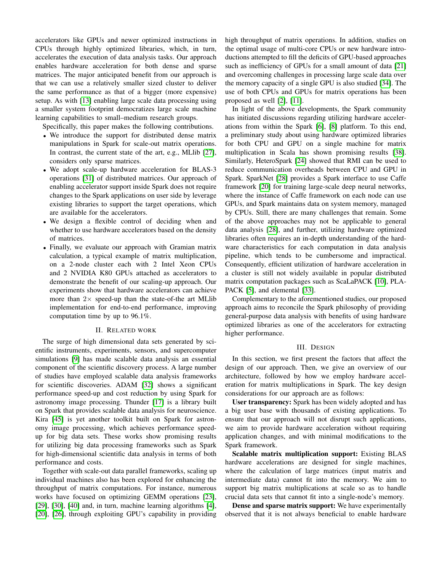accelerators like GPUs and newer optimized instructions in CPUs through highly optimized libraries, which, in turn, accelerates the execution of data analysis tasks. Our approach enables hardware acceleration for both dense and sparse matrices. The major anticipated benefit from our approach is that we can use a relatively smaller sized cluster to deliver the same performance as that of a bigger (more expensive) setup. As with [\[13\]](#page-5-12) enabling large scale data processing using a smaller system footprint democratizes large scale machine learning capabilities to small–medium research groups.

Specifically, this paper makes the following contributions.

- We introduce the support for distributed dense matrix manipulations in Spark for scale-out matrix operations. In contrast, the current state of the art, e.g., MLlib [\[27\]](#page-5-21), considers only sparse matrices.
- We adopt scale-up hardware acceleration for BLAS-3 operations [\[31\]](#page-5-23) of distributed matrices. Our approach of enabling accelerator support inside Spark does not require changes to the Spark applications on user side by leverage existing libraries to support the target operations, which are available for the accelerators.
- We design a flexible control of deciding when and whether to use hardware accelerators based on the density of matrices.
- Finally, we evaluate our approach with Gramian matrix calculation, a typical example of matrix multiplication, on a 2-node cluster each with 2 Intel Xeon CPUs and 2 NVIDIA K80 GPUs attached as accelerators to demonstrate the benefit of our scaling-up approach. Our experiments show that hardware accelerators can achieve more than  $2 \times$  speed-up than the state-of-the art MLlib implementation for end-to-end performance, improving computation time by up to 96.1%.

## II. RELATED WORK

The surge of high dimensional data sets generated by scientific instruments, experiments, sensors, and supercomputer simulations [\[9\]](#page-5-0) has made scalable data analysis an essential component of the scientific discovery process. A large number of studies have employed scalable data analysis frameworks for scientific discoveries. ADAM [\[32\]](#page-5-24) shows a significant performance speed-up and cost reduction by using Spark for astronomy image processing. Thunder [\[17\]](#page-5-25) is a library built on Spark that provides scalable data analysis for neuroscience. Kira [\[45\]](#page-5-26) is yet another toolkit built on Spark for astronomy image processing, which achieves performance speedup for big data sets. These works show promising results for utilizing big data processing frameworks such as Spark for high-dimensional scientific data analysis in terms of both performance and costs.

Together with scale-out data parallel frameworks, scaling up individual machines also has been explored for enhancing the throughput of matrix computations. For instance, numerous works have focused on optimizing GEMM operations [\[23\]](#page-5-17), [\[29\]](#page-5-18), [\[30\]](#page-5-19), [\[40\]](#page-5-20) and, in turn, machine learning algorithms [\[4\]](#page-5-27), [\[20\]](#page-5-28), [\[26\]](#page-5-29), through exploiting GPU's capability in providing high throughput of matrix operations. In addition, studies on the optimal usage of multi-core CPUs or new hardware introductions attempted to fill the deficits of GPU-based approaches such as inefficiency of GPUs for a small amount of data [\[21\]](#page-5-30) and overcoming challenges in processing large scale data over the memory capacity of a single GPU is also studied [\[34\]](#page-5-31). The use of both CPUs and GPUs for matrix operations has been proposed as well [\[2\]](#page-5-32), [\[11\]](#page-5-11).

In light of the above developments, the Spark community has initiated discussions regarding utilizing hardware accelerations from within the Spark [\[6\]](#page-5-33), [\[8\]](#page-5-34) platform. To this end, a preliminary study about using hardware optimized libraries for both CPU and GPU on a single machine for matrix multiplication in Scala has shown promising results [\[38\]](#page-5-35). Similarly, HeteroSpark [\[24\]](#page-5-36) showed that RMI can be used to reduce communication overheads between CPU and GPU in Spark. SparkNet [\[28\]](#page-5-37) provides a Spark interface to use Caffe framework [\[20\]](#page-5-28) for training large-scale deep neural networks, where the instance of Caffe framework on each node can use GPUs, and Spark maintains data on system memory, managed by CPUs. Still, there are many challenges that remain. Some of the above approaches may not be applicable to general data analysis [\[28\]](#page-5-37), and further, utilizing hardware optimized libraries often requires an in-depth understanding of the hardware characteristics for each computation in data analysis pipeline, which tends to be cumbersome and impractical. Consequently, efficient utilization of hardware acceleration in a cluster is still not widely available in popular distributed matrix computation packages such as ScaLaPACK [\[10\]](#page-5-38), PLA-PACK [\[5\]](#page-5-39), and elemental [\[33\]](#page-5-10).

Complementary to the aforementioned studies, our proposed approach aims to reconcile the Spark philosophy of providing general-purpose data analysis with benefits of using hardware optimized libraries as one of the accelerators for extracting higher performance.

#### III. DESIGN

In this section, we first present the factors that affect the design of our approach. Then, we give an overview of our architecture, followed by how we employ hardware acceleration for matrix multiplications in Spark. The key design considerations for our approach are as follows:

User transparency: Spark has been widely adopted and has a big user base with thousands of existing applications. To ensure that our approach will not disrupt such applications, we aim to provide hardware acceleration without requiring application changes, and with minimal modifications to the Spark framework.

Scalable matrix multiplication support: Existing BLAS hardware accelerations are designed for single machines, where the calculation of large matrices (input matrix and intermediate data) cannot fit into the memory. We aim to support big matrix multiplications at scale so as to handle crucial data sets that cannot fit into a single-node's memory.

Dense and sparse matrix support: We have experimentally observed that it is not always beneficial to enable hardware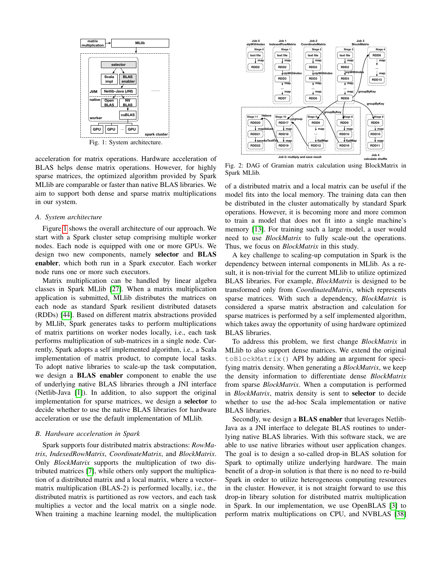<span id="page-2-0"></span>

acceleration for matrix operations. Hardware acceleration of BLAS helps dense matrix operations. However, for highly sparse matrices, the optimized algorithm provided by Spark MLlib are comparable or faster than native BLAS libraries. We aim to support both dense and sparse matrix multiplications

#### *A. System architecture*

in our system.

Figure [1](#page-2-0) shows the overall architecture of our approach. We start with a Spark cluster setup comprising multiple worker nodes. Each node is equipped with one or more GPUs. We design two new components, namely selector and BLAS enabler, which both run in a Spark executor. Each worker node runs one or more such executors.

Matrix multiplication can be handled by linear algebra classes in Spark MLlib [\[27\]](#page-5-21). When a matrix multiplication application is submitted, MLlib distributes the matrices on each node as standard Spark resilient distributed datasets (RDDs) [\[44\]](#page-5-40). Based on different matrix abstractions provided by MLlib, Spark generates tasks to perform multiplications of matrix partitions on worker nodes locally, i.e., each task performs multiplication of sub-matrices in a single node. Currently, Spark adopts a self implemented algorithm, i.e., a Scala implementation of matrix product, to compute local tasks. To adopt native libraries to scale-up the task computation, we design a BLAS enabler component to enable the use of underlying native BLAS libraries through a JNI interface (Netlib-Java [\[1\]](#page-5-41)). In addition, to also support the original implementation for sparse matrices, we design a selector to decide whether to use the native BLAS libraries for hardware acceleration or use the default implementation of MLlib.

#### *B. Hardware acceleration in Spark*

Spark supports four distributed matrix abstractions: *RowMatrix*, *IndexedRowMatrix*, *CoordinateMatrix*, and *BlockMatrix*. Only *BlockMatrix* supports the multiplication of two distributed matrices [\[7\]](#page-5-42), while others only support the multiplication of a distributed matrix and a local matrix, where a vector– matrix multiplication (BLAS-2) is performed locally, i.e., the distributed matrix is partitioned as row vectors, and each task multiplies a vector and the local matrix on a single node. When training a machine learning model, the multiplication

<span id="page-2-1"></span>

Fig. 2: DAG of Gramian matrix calculation using BlockMatrix in Spark MLlib.

of a distributed matrix and a local matrix can be useful if the model fits into the local memory. The training data can then be distributed in the cluster automatically by standard Spark operations. However, it is becoming more and more common to train a model that does not fit into a single machine's memory [\[13\]](#page-5-12). For training such a large model, a user would need to use *BlockMatrix* to fully scale-out the operations. Thus, we focus on *BlockMatrix* in this study.

A key challenge to scaling-up computation in Spark is the dependency between internal components in MLlib. As a result, it is non-trivial for the current MLlib to utilize optimized BLAS libraries. For example, *BlockMatrix* is designed to be transformed only from *CoordinatedMatrix*, which represents sparse matrices. With such a dependency, *BlockMatrix* is considered a sparse matrix abstraction and calculation for sparse matrices is performed by a self implemented algorithm, which takes away the opportunity of using hardware optimized BLAS libraries.

To address this problem, we first change *BlockMatrix* in MLlib to also support dense matrices. We extend the original toBlockMatrix() API by adding an argument for specifying matrix density. When generating a *BlockMatrix*, we keep the density information to differentiate dense *BlockMatrix* from sparse *BlockMatrix*. When a computation is performed in *BlockMatrix*, matrix density is sent to selector to decide whether to use the ad-hoc Scala implementation or native BLAS libraries.

Secondly, we design a **BLAS enabler** that leverages Netlib-Java as a JNI interface to delegate BLAS routines to underlying native BLAS libraries. With this software stack, we are able to use native libraries without user application changes. The goal is to design a so-called drop-in BLAS solution for Spark to optimally utilize underlying hardware. The main benefit of a drop-in solution is that there is no need to re-build Spark in order to utilize heterogeneous computing resources in the cluster. However, it is not straight forward to use this drop-in library solution for distributed matrix multiplication in Spark. In our implementation, we use OpenBLAS [\[3\]](#page-5-43) to perform matrix multiplications on CPU, and NVBLAS [\[38\]](#page-5-35)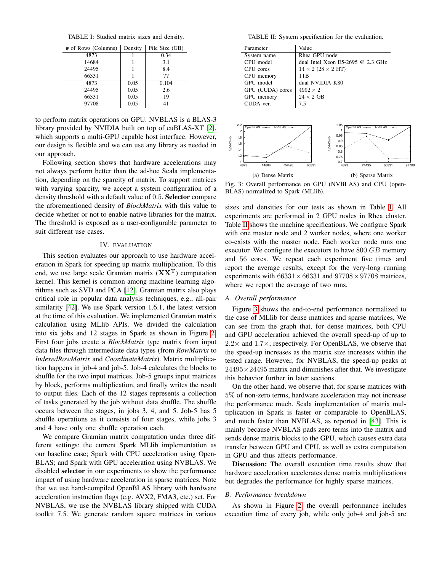TABLE I: Studied matrix sizes and density.

<span id="page-3-0"></span>

| # of Rows (Columns) | Density | File Size (GB) |
|---------------------|---------|----------------|
| 4873                |         | 0.34           |
| 14684               |         | 3.1            |
| 24495               |         | 8.4            |
| 66331               |         | 77             |
| 4873                | 0.05    | 0.104          |
| 24495               | 0.05    | 2.6            |
| 66331               | 0.05    | 19             |
| 97708               | 0.05    | 41             |

to perform matrix operations on GPU. NVBLAS is a BLAS-3 library provided by NVIDIA built on top of cuBLAS-XT [\[2\]](#page-5-32), which supports a multi-GPU capable host interface. However, our design is flexible and we can use any library as needed in our approach.

Following section shows that hardware accelerations may not always perform better than the ad-hoc Scala implementation, depending on the sparcity of matrix. To support matrices with varying sparcity, we accept a system configuration of a density threshold with a default value of 0.5. Selector compare the aforementioned density of *BlockMatrix* with this value to decide whether or not to enable native libraries for the matrix. The threshold is exposed as a user-configurable parameter to suit different use cases.

#### IV. EVALUATION

This section evaluates our approach to use hardware acceleration in Spark for speeding up matrix multiplication. To this end, we use large scale Gramian matrix  $(XX<sup>T</sup>)$  computation kernel. This kernel is common among machine learning algorithms such as SVD and PCA [\[12\]](#page-5-5). Gramian matrix also plays critical role in popular data analysis techniques, e.g., all-pair similarity [\[42\]](#page-5-44). We use Spark version 1.6.1, the latest version at the time of this evaluation. We implemented Gramian matrix calculation using MLlib APIs. We divided the calculation into six jobs and 12 stages in Spark as shown in Figure [2.](#page-2-1) First four jobs create a *BlockMatrix* type matrix from input data files through intermediate data types (from *RowMatrix* to *IndexedRowMatrix* and *CoordinateMatrix*). Matrix multiplication happens in job-4 and job-5. Job-4 calculates the blocks to shuffle for the two input matrices. Job-5 groups input matrices by block, performs multiplication, and finally writes the result to output files. Each of the 12 stages represents a collection of tasks generated by the job without data shuffle. The shuffle occurs between the stages, in jobs 3, 4, and 5. Job-5 has 5 shuffle operations as it consists of four stages, while jobs 3 and 4 have only one shuffle operation each.

We compare Gramian matrix computation under three different settings: the current Spark MLlib implementation as our baseline case; Spark with CPU acceleration using Open-BLAS; and Spark with GPU acceleration using NVBLAS. We disabled selector in our experiments to show the performance impact of using hardware acceleration in sparse matrices. Note that we use hand-compiled OpenBLAS library with hardware acceleration instruction flags (e.g. AVX2, FMA3, etc.) set. For NVBLAS, we use the NVBLAS library shipped with CUDA toolkit 7.5. We generate random square matrices in various

TABLE II: System specification for the evaluation.

<span id="page-3-1"></span>

| Parameter        | Value                               |
|------------------|-------------------------------------|
| System name      | Rhea GPU node                       |
| CPU model        | dual Intel Xeon E5-2695 $@$ 2.3 GHz |
| CPU cores        | $14 \times 2$ (28 $\times$ 2 HT)    |
| CPU memory       | 1TB                                 |
| GPU model        | dual NVIDIA K80                     |
| GPU (CUDA) cores | $4992 \times 2$                     |
| GPU memory       | $24 \times 2$ GB                    |
| CUDA ver.        | 7.5                                 |

<span id="page-3-2"></span>

Fig. 3: Overall performance on GPU (NVBLAS) and CPU (open-BLAS) normalized to Spark (MLlib).

sizes and densities for our tests as shown in Table [I.](#page-3-0) All experiments are performed in 2 GPU nodes in Rhea cluster. Table [II](#page-3-1) shows the machine specifications. We configure Spark with one master node and 2 worker nodes, where one worker co-exists with the master node. Each worker node runs one executor. We configure the executors to have  $800$   $GB$  memory and 56 cores. We repeat each experiment five times and report the average results, except for the very-long running experiments with  $66331 \times 66331$  and  $97708 \times 97708$  matrices, where we report the average of two runs.

#### <span id="page-3-3"></span>*A. Overall performance*

Figure [3](#page-3-2) shows the end-to-end performance normalized to the case of MLlib for dense matrices and sparse matrices, We can see from the graph that, for dense matrices, both CPU and GPU acceleration achieved the overall speed-up of up to  $2.2\times$  and  $1.7\times$ , respectively. For OpenBLAS, we observe that the speed-up increases as the matrix size increases within the tested range. However, for NVBLAS, the speed-up peaks at  $24495 \times 24495$  matrix and diminishes after that. We investigate this behavior further in later sections.

On the other hand, we observe that, for sparse matrices with 5% of non-zero terms, hardware acceleration may not increase the performance much. Scala implementation of matrix multiplication in Spark is faster or comparable to OpenBLAS, and much faster than NVBLAS, as reported in [\[43\]](#page-5-22). This is mainly because NVBLAS pads zero terms into the matrix and sends dense matrix blocks to the GPU, which causes extra data transfer between GPU and CPU, as well as extra computation in GPU and thus affects performance.

Discussion: The overall execution time results show that hardware acceleration accelerates dense matrix multiplications but degrades the performance for highly sparse matrices.

## *B. Performance breakdown*

As shown in Figure [2,](#page-2-1) the overall performance includes execution time of every job, while only job-4 and job-5 are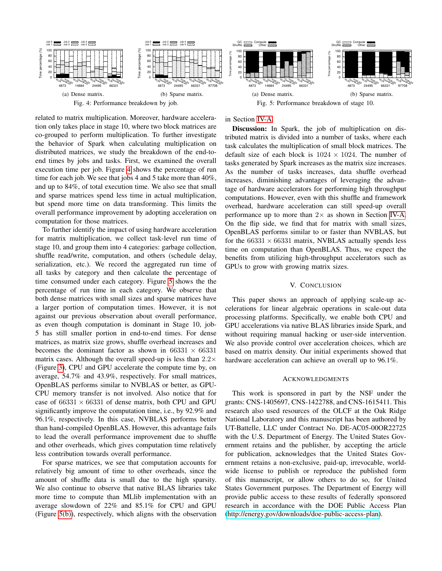<span id="page-4-0"></span>

related to matrix multiplication. Moreover, hardware acceleration only takes place in stage 10, where two block matrices are co-grouped to perform multiplication. To further investigate the behavior of Spark when calculating multiplication on distributed matrices, we study the breakdown of the end-toend times by jobs and tasks. First, we examined the overall execution time per job. Figure [4](#page-4-0) shows the percentage of run time for each job. We see that jobs 4 and 5 take more than 40%, and up to 84%, of total execution time. We also see that small and sparse matrices spend less time in actual multiplication, but spend more time on data transforming. This limits the overall performance improvement by adopting acceleration on computation for those matrices.

To further identify the impact of using hardware acceleration for matrix multiplication, we collect task-level run time of stage 10, and group them into 4 categories: garbage collection, shuffle read/write, computation, and others (schedule delay, serialization, etc.). We record the aggregated run time of all tasks by category and then calculate the percentage of time consumed under each category. Figure [5](#page-4-1) shows the the percentage of run time in each category. We observe that both dense matrices with small sizes and sparse matrices have a larger portion of computation times. However, it is not against our previous observation about overall performance, as even though computation is dominant in Stage 10, job-5 has still smaller portion in end-to-end times. For dense matrices, as matrix size grows, shuffle overhead increases and becomes the dominant factor as shown in 66331  $\times$  66331 matrix cases. Although the overall speed-up is less than  $2.2\times$ (Figure [3\)](#page-3-2), CPU and GPU accelerate the compute time by, on average, 54.7% and 43.9%, respectively. For small matrices, OpenBLAS performs similar to NVBLAS or better, as GPU-CPU memory transfer is not involved. Also notice that for case of  $66331 \times 66331$  of dense matrix, both CPU and GPU significantly improve the computation time, i.e., by 92.9% and 96.1%, respectively. In this case, NVBLAS performs better than hand-compiled OpenBLAS. However, this advantage fails to lead the overall performance improvement due to shuffle and other overheads, which gives computation time relatively less contribution towards overall performance.

For sparse matrices, we see that computation accounts for relatively big amount of time to other overheads, since the amount of shuffle data is small due to the high sparsity. We also continue to observe that native BLAS libraries take more time to compute than MLlib implementation with an average slowdown of 22% and 85.1% for CPU and GPU (Figure [5\(b\)\)](#page-4-2), respectively, which aligns with the observation <span id="page-4-2"></span><span id="page-4-1"></span>in Section [IV-A.](#page-3-3)

Discussion: In Spark, the job of multiplication on distributed matrix is divided into a number of tasks, where each task calculates the multiplication of small block matrices. The default size of each block is  $1024 \times 1024$ . The number of tasks generated by Spark increases as the matrix size increases. As the number of tasks increases, data shuffle overhead increases, diminishing advantages of leveraging the advantage of hardware accelerators for performing high throughput computations. However, even with this shuffle and framework overhead, hardware acceleration can still speed-up overall performance up to more than  $2 \times$  as shown in Section [IV-A.](#page-3-3) On the flip side, we find that for matrix with small sizes, OpenBLAS performs similar to or faster than NVBLAS, but for the  $66331 \times 66331$  matrix, NVBLAS actually spends less time on computation than OpenBLAS. Thus, we expect the benefits from utilizing high-throughput accelerators such as GPUs to grow with growing matrix sizes.

## V. CONCLUSION

This paper shows an approach of applying scale-up accelerations for linear algebraic operations in scale-out data processing platforms. Specifically, we enable both CPU and GPU accelerations via native BLAS libraries inside Spark, and without requiring manual hacking or user-side intervention. We also provide control over acceleration choices, which are based on matrix density. Our initial experiments showed that hardware acceleration can achieve an overall up to 96.1%.

#### ACKNOWLEDGMENTS

This work is sponsored in part by the NSF under the grants: CNS-1405697, CNS-1422788, and CNS-1615411. This research also used resources of the OLCF at the Oak Ridge National Laboratory and this manuscript has been authored by UT-Battelle, LLC under Contract No. DE-AC05-00OR22725 with the U.S. Department of Energy. The United States Government retains and the publisher, by accepting the article for publication, acknowledges that the United States Government retains a non-exclusive, paid-up, irrevocable, worldwide license to publish or reproduce the published form of this manuscript, or allow others to do so, for United States Government purposes. The Department of Energy will provide public access to these results of federally sponsored research in accordance with the DOE Public Access Plan [\(http://energy.gov/downloads/doe-public-access-plan\)](http://energy.gov/downloads/doe-public-access-plan).